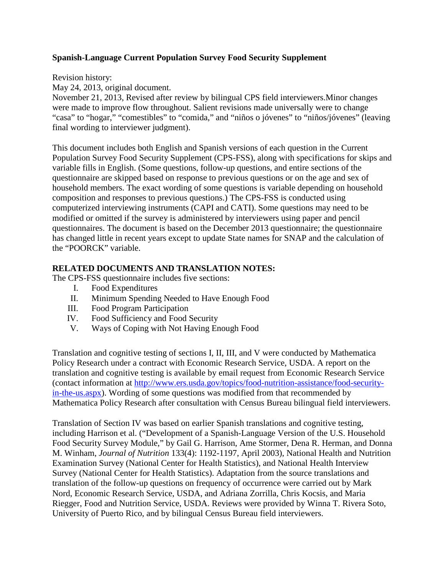# **Spanish-Language Current Population Survey Food Security Supplement**

Revision history:

May 24, 2013, original document.

November 21, 2013, Revised after review by bilingual CPS field interviewers.Minor changes were made to improve flow throughout. Salient revisions made universally were to change "casa" to "hogar," "comestibles" to "comida," and "niños o jóvenes" to "niños/jóvenes" (leaving final wording to interviewer judgment).

This document includes both English and Spanish versions of each question in the Current Population Survey Food Security Supplement (CPS-FSS), along with specifications for skips and variable fills in English. (Some questions, follow-up questions, and entire sections of the questionnaire are skipped based on response to previous questions or on the age and sex of household members. The exact wording of some questions is variable depending on household composition and responses to previous questions.) The CPS-FSS is conducted using computerized interviewing instruments (CAPI and CATI). Some questions may need to be modified or omitted if the survey is administered by interviewers using paper and pencil questionnaires. The document is based on the December 2013 questionnaire; the questionnaire has changed little in recent years except to update State names for SNAP and the calculation of the "POORCK" variable.

# **RELATED DOCUMENTS AND TRANSLATION NOTES:**

The CPS-FSS questionnaire includes five sections:

- I. Food Expenditures
- II. Minimum Spending Needed to Have Enough Food
- III. Food Program Participation
- IV. Food Sufficiency and Food Security
- V. Ways of Coping with Not Having Enough Food

Translation and cognitive testing of sections I, II, III, and V were conducted by Mathematica Policy Research under a contract with Economic Research Service, USDA. A report on the translation and cognitive testing is available by email request from Economic Research Service (contact information at [http://www.ers.usda.gov/topics/food-nutrition-assistance/food-security](http://www.ers.usda.gov/topics/food-nutrition-assistance/food-security-in-the-us.aspx)[in-the-us.aspx\)](http://www.ers.usda.gov/topics/food-nutrition-assistance/food-security-in-the-us.aspx). Wording of some questions was modified from that recommended by Mathematica Policy Research after consultation with Census Bureau bilingual field interviewers.

Translation of Section IV was based on earlier Spanish translations and cognitive testing, including Harrison et al. ("Development of a Spanish-Language Version of the U.S. Household Food Security Survey Module," by Gail G. Harrison, Ame Stormer, Dena R. Herman, and Donna M. Winham, *Journal of Nutrition* 133(4): 1192-1197, April 2003), National Health and Nutrition Examination Survey (National Center for Health Statistics), and National Health Interview Survey (National Center for Health Statistics). Adaptation from the source translations and translation of the follow-up questions on frequency of occurrence were carried out by Mark Nord, Economic Research Service, USDA, and Adriana Zorrilla, Chris Kocsis, and Maria Riegger, Food and Nutrition Service, USDA. Reviews were provided by Winna T. Rivera Soto, University of Puerto Rico, and by bilingual Census Bureau field interviewers.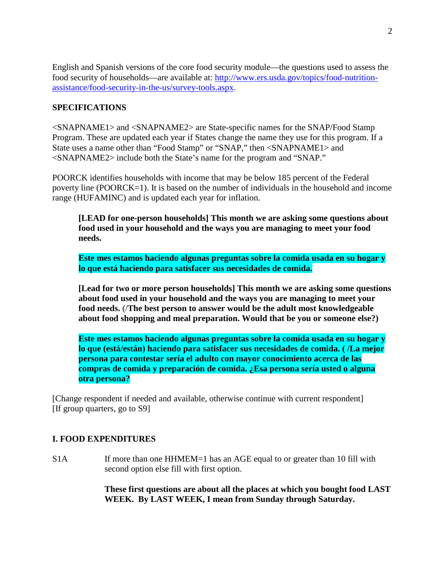English and Spanish versions of the core food security module—the questions used to assess the food security of households—are available at: [http://www.ers.usda.gov/topics/food-nutrition](http://www.ers.usda.gov/topics/food-nutrition-assistance/food-security-in-the-us/survey-tools.aspx)[assistance/food-security-in-the-us/survey-tools.aspx.](http://www.ers.usda.gov/topics/food-nutrition-assistance/food-security-in-the-us/survey-tools.aspx)

# **SPECIFICATIONS**

<SNAPNAME1> and <SNAPNAME2> are State-specific names for the SNAP/Food Stamp Program. These are updated each year if States change the name they use for this program. If a State uses a name other than "Food Stamp" or "SNAP," then <SNAPNAME1> and <SNAPNAME2> include both the State's name for the program and "SNAP."

POORCK identifies households with income that may be below 185 percent of the Federal poverty line (POORCK=1). It is based on the number of individuals in the household and income range (HUFAMINC) and is updated each year for inflation.

**[LEAD for one-person households] This month we are asking some questions about food used in your household and the ways you are managing to meet your food needs.**

**Este mes estamos haciendo algunas preguntas sobre la comida usada en su hogar y lo que está haciendo para satisfacer sus necesidades de comida.**

**[Lead for two or more person households] This month we are asking some questions about food used in your household and the ways you are managing to meet your food needs.** (/**The best person to answer would be the adult most knowledgeable about food shopping and meal preparation. Would that be you or someone else?)**

**Este mes estamos haciendo algunas preguntas sobre la comida usada en su hogar y lo que (está/están) haciendo para satisfacer sus necesidades de comida. ( /La mejor persona para contestar sería el adulto con mayor conocimiento acerca de las compras de comida y preparación de comida. ¿Esa persona sería usted o alguna otra persona?**

[Change respondent if needed and available, otherwise continue with current respondent] [If group quarters, go to S9]

# **I. FOOD EXPENDITURES**

S1A If more than one HHMEM=1 has an AGE equal to or greater than 10 fill with second option else fill with first option.

> **These first questions are about all the places at which you bought food LAST WEEK. By LAST WEEK, I mean from Sunday through Saturday.**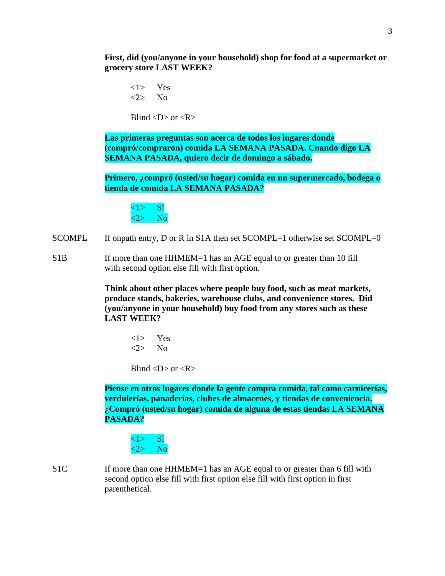**First, did (you/anyone in your household) shop for food at a supermarket or grocery store LAST WEEK?**

<1> Yes  $\langle 2 \rangle$  No

Blind  $\langle D \rangle$  or  $\langle R \rangle$ 

**Las primeras preguntas son acerca de todos los lugares donde (compró/compraron) comida LA SEMANA PASADA. Cuando digo LA SEMANA PASADA, quiero decir de domingo a sábado.**

**Primero, ¿compró (usted/su hogar) comida en un supermercado, bodega o tienda de comida LA SEMANA PASADA?**

 $\langle 1 \rangle$  Si  $\langle 2 \rangle$  No

- SCOMPL If onpath entry, D or R in S1A then set SCOMPL=1 otherwise set SCOMPL=0
- S1B If more than one HHMEM=1 has an AGE equal to or greater than 10 fill with second option else fill with first option.

 **Think about other places where people buy food, such as meat markets, produce stands, bakeries, warehouse clubs, and convenience stores. Did (you/anyone in your household) buy food from any stores such as these LAST WEEK?**

<1> Yes <2> No

Blind  $\langle D \rangle$  or  $\langle R \rangle$ 

**Piense en otros lugares donde la gente compra comida, tal como carnicerías, verdulerías, panaderías, clubes de almacenes, y tiendas de conveniencia. ¿Compró (usted/su hogar) comida de alguna de estas tiendas LA SEMANA PASADA?**



S1C If more than one HHMEM=1 has an AGE equal to or greater than 6 fill with second option else fill with first option else fill with first option in first parenthetical.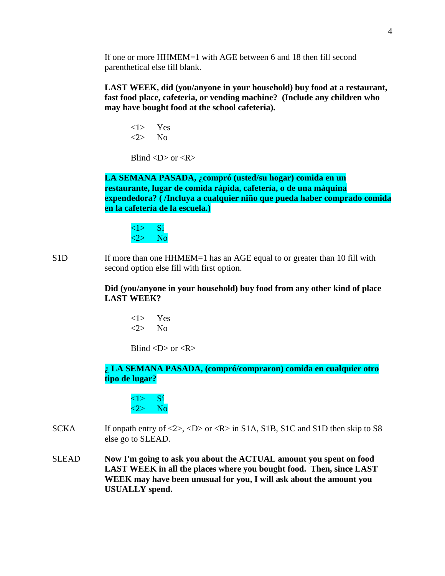If one or more HHMEM=1 with AGE between 6 and 18 then fill second parenthetical else fill blank.

**LAST WEEK, did (you/anyone in your household) buy food at a restaurant, fast food place, cafeteria, or vending machine? (Include any children who may have bought food at the school cafeteria).**

<1> Yes <2> No

Blind  $\langle D \rangle$  or  $\langle R \rangle$ 

**LA SEMANA PASADA, ¿compró (usted/su hogar) comida en un restaurante, lugar de comida rápida, cafetería, o de una máquina expendedora? ( /Incluya a cualquier niño que pueda haber comprado comida en la cafetería de la escuela.)**



S1D If more than one HHMEM=1 has an AGE equal to or greater than 10 fill with second option else fill with first option.

## **Did (you/anyone in your household) buy food from any other kind of place LAST WEEK?**

<1> Yes <2> No

Blind  $\langle D \rangle$  or  $\langle R \rangle$ 

# **¿ LA SEMANA PASADA, (compró/compraron) comida en cualquier otro tipo de lugar?**

 $\langle 1 \rangle$  Si  $\langle 2 \rangle$  No

- SCKA If onpath entry of  $\langle 2 \rangle$ ,  $\langle D \rangle$  or  $\langle R \rangle$  in S1A, S1B, S1C and S1D then skip to S8 else go to SLEAD.
- SLEAD **Now I'm going to ask you about the ACTUAL amount you spent on food LAST WEEK in all the places where you bought food. Then, since LAST WEEK may have been unusual for you, I will ask about the amount you USUALLY spend.**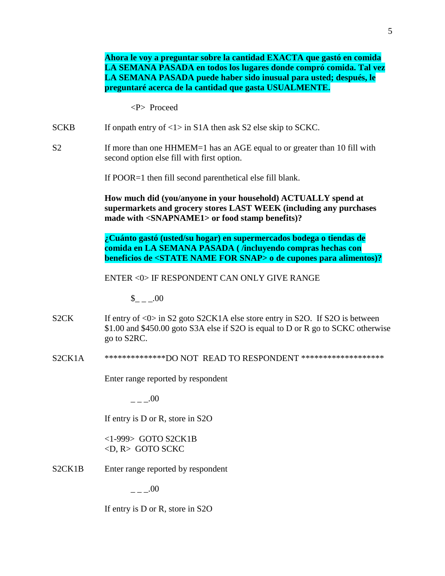**Ahora le voy a preguntar sobre la cantidad EXACTA que gastó en comida LA SEMANA PASADA en todos los lugares donde compró comida. Tal vez LA SEMANA PASADA puede haber sido inusual para usted; después, le preguntaré acerca de la cantidad que gasta USUALMENTE.** <P> Proceed SCKB If onpath entry of  $\langle 1 \rangle$  in S1A then ask S2 else skip to SCKC. S2 If more than one HHMEM=1 has an AGE equal to or greater than 10 fill with second option else fill with first option. If POOR=1 then fill second parenthetical else fill blank. **How much did (you/anyone in your household) ACTUALLY spend at supermarkets and grocery stores LAST WEEK (including any purchases made with <SNAPNAME1> or food stamp benefits)? ¿Cuánto gastó (usted/su hogar) en supermercados bodega o tiendas de comida en LA SEMANA PASADA ( /incluyendo compras hechas con beneficios de <STATE NAME FOR SNAP> o de cupones para alimentos)?** ENTER <0> IF RESPONDENT CAN ONLY GIVE RANGE  $$ 00$ S2CK If entry of <0> in S2 goto S2CK1A else store entry in S2O. If S2O is between \$1.00 and \$450.00 goto S3A else if S2O is equal to D or R go to SCKC otherwise go to S2RC. S2CK1A \*\*\*\*\*\*\*\*\*\*\*\*\*\*DO NOT READ TO RESPONDENT \*\*\*\*\*\*\*\*\*\*\*\*\*\*\*\*\*\*\* Enter range reported by respondent  $\sim .00$ If entry is D or R, store in S2O <1-999> GOTO S2CK1B <D, R> GOTO SCKC S2CK1B Enter range reported by respondent  $\sim .00$ 

If entry is D or R, store in S2O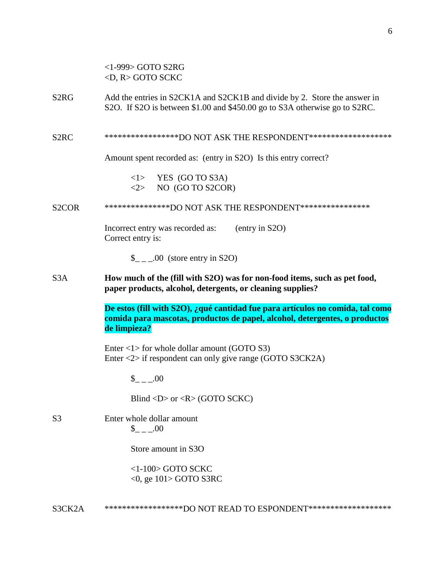|                   | $<$ 1-999> GOTO S2RG<br>$\langle D, R \rangle$ GOTO SCKC                                                                                                                      |  |  |  |  |
|-------------------|-------------------------------------------------------------------------------------------------------------------------------------------------------------------------------|--|--|--|--|
| S2RG              | Add the entries in S2CK1A and S2CK1B and divide by 2. Store the answer in<br>S2O. If S2O is between \$1.00 and \$450.00 go to S3A otherwise go to S2RC.                       |  |  |  |  |
| S <sub>2</sub> RC | ******************DO NOT ASK THE RESPONDENT********************                                                                                                               |  |  |  |  |
|                   | Amount spent recorded as: (entry in S2O) Is this entry correct?                                                                                                               |  |  |  |  |
|                   | $\langle 1 \rangle$ YES (GO TO S3A)<br>$\langle 2 \rangle$ NO (GO TO S2COR)                                                                                                   |  |  |  |  |
| S2COR             | ****************DO NOT ASK THE RESPONDENT*****************                                                                                                                    |  |  |  |  |
|                   | Incorrect entry was recorded as:<br>(entry in S2O)<br>Correct entry is:                                                                                                       |  |  |  |  |
|                   | $\_{$ _ _ .00 (store entry in S2O)                                                                                                                                            |  |  |  |  |
| S3A               | How much of the (fill with S2O) was for non-food items, such as pet food,<br>paper products, alcohol, detergents, or cleaning supplies?                                       |  |  |  |  |
|                   |                                                                                                                                                                               |  |  |  |  |
|                   | De estos (fill with S2O), ¿qué cantidad fue para artículos no comida, tal como<br>comida para mascotas, productos de papel, alcohol, detergentes, o productos<br>de limpieza? |  |  |  |  |
|                   | Enter $\langle 1 \rangle$ for whole dollar amount (GOTO S3)<br>Enter $\langle 2 \rangle$ if respondent can only give range (GOTO S3CK2A)                                      |  |  |  |  |
|                   | $_{--.00}$                                                                                                                                                                    |  |  |  |  |
|                   | Blind <d> or <r> <math>(R &gt; 0</math> (GOTO SCKC)</r></d>                                                                                                                   |  |  |  |  |
| S3                | Enter whole dollar amount<br>$\$\quad .00$                                                                                                                                    |  |  |  |  |
|                   | Store amount in S3O                                                                                                                                                           |  |  |  |  |
|                   | $<$ 1-100 $>$ GOTO SCKC<br>$<$ 0, ge 101> GOTO S3RC                                                                                                                           |  |  |  |  |

S3CK2A \*\*\*\*\*\*\*\*\*\*\*\*\*\*\*\*\*\*\*\*DO NOT READ TO ESPONDENT\*\*\*\*\*\*\*\*\*\*\*\*\*\*\*\*\*\*\*\*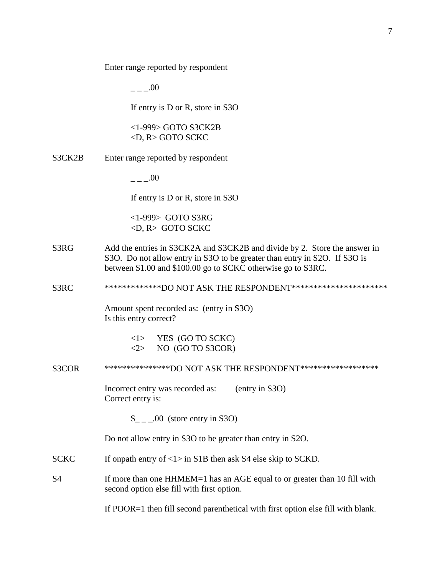Enter range reported by respondent

 $- -00$ 

If entry is D or R, store in S3O

<1-999> GOTO S3CK2B <D, R> GOTO SCKC

S3CK2B Enter range reported by respondent

 $.00$ 

If entry is D or R, store in S3O

<1-999> GOTO S3RG <D, R> GOTO SCKC

- S3RG Add the entries in S3CK2A and S3CK2B and divide by 2. Store the answer in S3O. Do not allow entry in S3O to be greater than entry in S2O. If S3O is between \$1.00 and \$100.00 go to SCKC otherwise go to S3RC.
- S3RC \*\*\*\*\*\*\*\*\*\*\*\*\*\*DO NOT ASK THE RESPONDENT\*\*\*\*\*\*\*\*\*\*\*\*\*\*\*\*\*\*\*\*\*\*\*

Amount spent recorded as: (entry in S3O) Is this entry correct?

> <1> YES (GO TO SCKC)  $\langle 2 \rangle$  NO (GO TO S3COR)

S3COR \*\*\*\*\*\*\*\*\*\*\*\*\*\*\*\*DO NOT ASK THE RESPONDENT\*\*\*\*\*\*\*\*\*\*\*\*\*\*\*\*\*\*\*

Incorrect entry was recorded as: (entry in S3O) Correct entry is:

 $\frac{1}{2}$  \_ \_.00 (store entry in S3O)

Do not allow entry in S3O to be greater than entry in S2O.

- SCKC If onpath entry of  $\langle 1 \rangle$  in S1B then ask S4 else skip to SCKD.
- S4 If more than one HHMEM=1 has an AGE equal to or greater than 10 fill with second option else fill with first option.

If POOR=1 then fill second parenthetical with first option else fill with blank.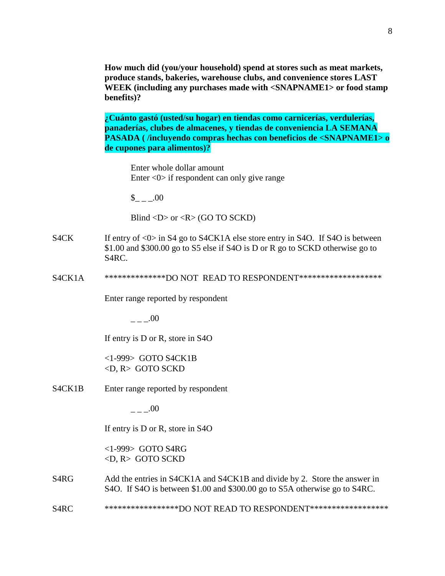**How much did (you/your household) spend at stores such as meat markets, produce stands, bakeries, warehouse clubs, and convenience stores LAST WEEK (including any purchases made with <SNAPNAME1> or food stamp benefits)?**

**¿Cuánto gastó (usted/su hogar) en tiendas como carnicerías, verdulerías, panaderías, clubes de almacenes, y tiendas de conveniencia LA SEMANA PASADA ( /incluyendo compras hechas con beneficios de <SNAPNAME1> o de cupones para alimentos)?**

Enter whole dollar amount Enter <0> if respondent can only give range

 $$ 00$ 

Blind <D> or <R> (GO TO SCKD)

- S4CK If entry of <0> in S4 go to S4CK1A else store entry in S4O. If S4O is between \$1.00 and \$300.00 go to S5 else if S4O is D or R go to SCKD otherwise go to S4RC.
- S4CK1A \*\*\*\*\*\*\*\*\*\*\*\*\*\*\*DO NOT READ TO RESPONDENT\*\*\*\*\*\*\*\*\*\*\*\*\*\*\*\*\*\*\*\*

Enter range reported by respondent

 $- -00$ 

If entry is D or R, store in S4O

<1-999> GOTO S4CK1B <D, R> GOTO SCKD

S4CK1B Enter range reported by respondent

 $.00$ 

If entry is D or R, store in S4O

<1-999> GOTO S4RG <D, R> GOTO SCKD

- S4RG Add the entries in S4CK1A and S4CK1B and divide by 2. Store the answer in S4O. If S4O is between \$1.00 and \$300.00 go to S5A otherwise go to S4RC.
- S4RC \*\*\*\*\*\*\*\*\*\*\*\*\*\*\*\*\*\*\*DO NOT READ TO RESPONDENT\*\*\*\*\*\*\*\*\*\*\*\*\*\*\*\*\*\*\*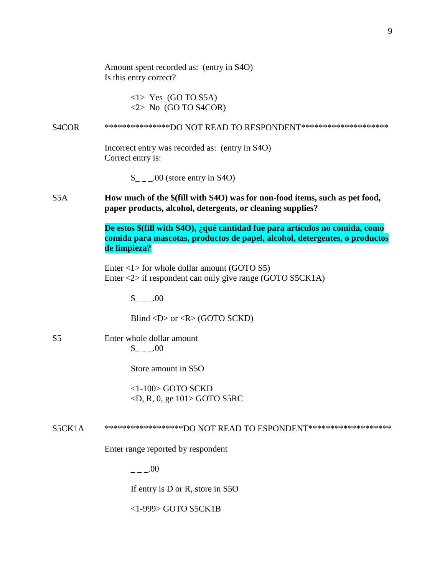|                    | Amount spent recorded as: (entry in S4O)<br>Is this entry correct?                                                                                                          |
|--------------------|-----------------------------------------------------------------------------------------------------------------------------------------------------------------------------|
|                    | $\langle$ 1> Yes (GO TO S5A)<br>$\langle 2 \rangle$ No (GO TO S4COR)                                                                                                        |
| S <sub>4</sub> COR | ****************DO NOT READ TO RESPONDENT*********************                                                                                                              |
|                    | Incorrect entry was recorded as: (entry in S4O)<br>Correct entry is:                                                                                                        |
|                    | $\_{\_ \_ \_ \_}$ .00 (store entry in S4O)                                                                                                                                  |
| S <sub>5</sub> A   | How much of the \$(fill with S4O) was for non-food items, such as pet food,<br>paper products, alcohol, detergents, or cleaning supplies?                                   |
|                    | De estos \$(fill with S4O), ¿qué cantidad fue para artículos no comida, como<br>comida para mascotas, productos de papel, alcohol, detergentes, o productos<br>de limpieza? |
|                    | Enter $\langle 1 \rangle$ for whole dollar amount (GOTO S5)<br>Enter $\langle 2 \rangle$ if respondent can only give range (GOTO S5CK1A)                                    |
|                    | $_{--.00}$                                                                                                                                                                  |
|                    | Blind < $D$ > or < $R$ > (GOTO SCKD)                                                                                                                                        |
| S5                 | Enter whole dollar amount<br>$_{--.00}$                                                                                                                                     |
|                    | Store amount in S5O                                                                                                                                                         |
|                    | $<$ 1-100 $>$ GOTO SCKD<br>$\langle D, R, 0, ge 101 \rangle$ GOTO S5RC                                                                                                      |
| S5CK1A             | ********************DO NOT READ TO ESPONDENT********************                                                                                                            |
|                    | Enter range reported by respondent                                                                                                                                          |
|                    | $- -100$                                                                                                                                                                    |
|                    | If entry is D or R, store in S5O                                                                                                                                            |
|                    | <1-999> GOTO S5CK1B                                                                                                                                                         |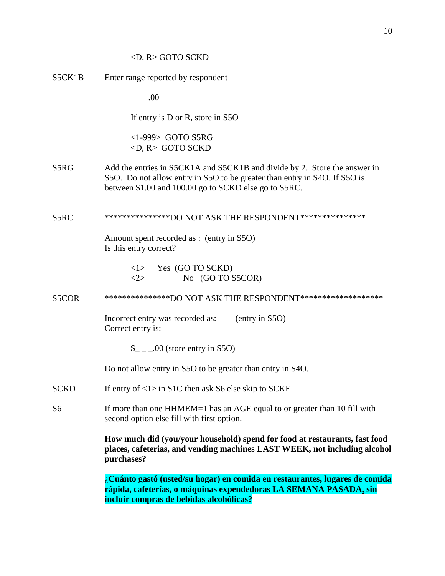# <D, R> GOTO SCKD

|        | ¿Cuánto gastó (usted/su hogar) en comida en restaurantes, lugares de comida<br>rápida, cafeterías, o máquinas expendedoras LA SEMANA PASADA, sin                                                                |  |  |  |
|--------|-----------------------------------------------------------------------------------------------------------------------------------------------------------------------------------------------------------------|--|--|--|
|        | How much did (you/your household) spend for food at restaurants, fast food<br>places, cafeterias, and vending machines LAST WEEK, not including alcohol<br>purchases?                                           |  |  |  |
| S6     | If more than one HHMEM=1 has an AGE equal to or greater than 10 fill with<br>second option else fill with first option.                                                                                         |  |  |  |
| SCKD   | If entry of $\langle 1 \rangle$ in S1C then ask S6 else skip to SCKE                                                                                                                                            |  |  |  |
|        | Do not allow entry in S5O to be greater than entry in S4O.                                                                                                                                                      |  |  |  |
|        | $\_{$ _ _ .00 (store entry in S5O)                                                                                                                                                                              |  |  |  |
|        | Incorrect entry was recorded as:<br>(entry in S5O)<br>Correct entry is:                                                                                                                                         |  |  |  |
| S5COR  | ****************DO NOT ASK THE RESPONDENT********************                                                                                                                                                   |  |  |  |
|        | $\langle$ 1> Yes (GO TO SCKD)<br>No (GO TO S5COR)<br><2>                                                                                                                                                        |  |  |  |
|        | Amount spent recorded as : (entry in S5O)<br>Is this entry correct?                                                                                                                                             |  |  |  |
| S5RC   | ****************DO NOT ASK THE RESPONDENT****************                                                                                                                                                       |  |  |  |
| S5RG   | Add the entries in S5CK1A and S5CK1B and divide by 2. Store the answer in<br>S50. Do not allow entry in S50 to be greater than entry in S40. If S50 is<br>between \$1.00 and 100.00 go to SCKD else go to S5RC. |  |  |  |
|        | $<$ 1-999> GOTO S5RG<br>$\langle D, R \rangle$ GOTO SCKD                                                                                                                                                        |  |  |  |
|        | If entry is D or R, store in S5O                                                                                                                                                                                |  |  |  |
|        | .00                                                                                                                                                                                                             |  |  |  |
| S5CK1B | Enter range reported by respondent                                                                                                                                                                              |  |  |  |

**incluir compras de bebidas alcohólicas?**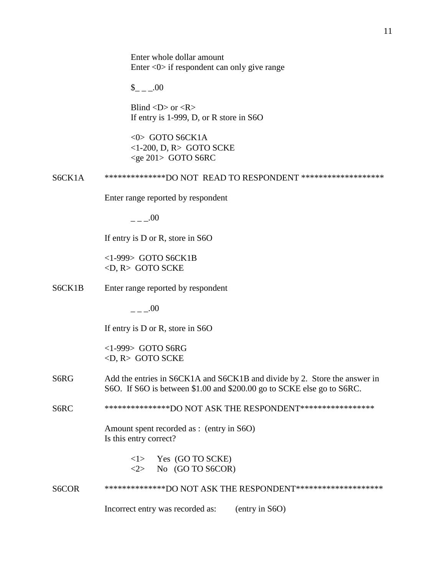Enter whole dollar amount Enter <0> if respondent can only give range

 $_{- -1.00}$ 

Blind  $\langle D \rangle$  or  $\langle R \rangle$ If entry is 1-999, D, or R store in S6O

<0> GOTO S6CK1A <1-200, D, R> GOTO SCKE <ge 201> GOTO S6RC

S6CK1A \*\*\*\*\*\*\*\*\*\*\*\*\*\*\*DO NOT READ TO RESPONDENT \*\*\*\*\*\*\*\*\*\*\*\*\*\*\*\*\*\*\*\*

Enter range reported by respondent

 $- - -00$ 

If entry is D or R, store in S6O

<1-999> GOTO S6CK1B <D, R> GOTO SCKE

S6CK1B Enter range reported by respondent

 $---00$ 

If entry is D or R, store in S6O

<1-999> GOTO S6RG <D, R> GOTO SCKE

S6RG Add the entries in S6CK1A and S6CK1B and divide by 2. Store the answer in S6O. If S6O is between \$1.00 and \$200.00 go to SCKE else go to S6RC.

S6RC \*\*\*\*\*\*\*\*\*\*\*\*\*\*\*\*DO NOT ASK THE RESPONDENT\*\*\*\*\*\*\*\*\*\*\*\*\*\*\*\*\*\*

Amount spent recorded as : (entry in S6O) Is this entry correct?

> <1> Yes (GO TO SCKE)  $\langle 2 \rangle$  No (GO TO S6COR)

S6COR \*\*\*\*\*\*\*\*\*\*\*\*\*\*\*DO NOT ASK THE RESPONDENT\*\*\*\*\*\*\*\*\*\*\*\*\*\*\*\*\*\*\*\*\*

Incorrect entry was recorded as: (entry in S6O)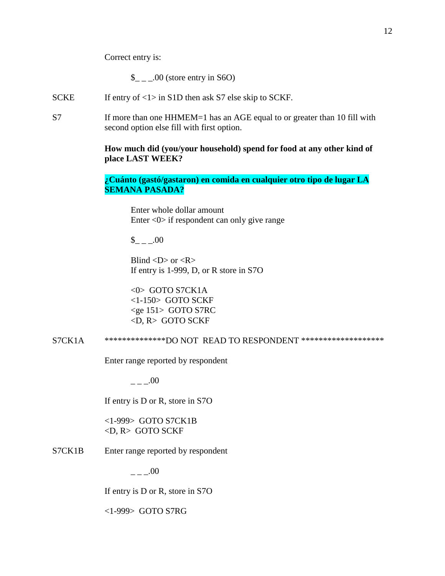$\frac{\S_{-}}{\S_{-}}$ .00 (store entry in S6O)

- SCKE If entry of  $\langle 1 \rangle$  in S1D then ask S7 else skip to SCKF.
- S7 If more than one HHMEM=1 has an AGE equal to or greater than 10 fill with second option else fill with first option.

# **How much did (you/your household) spend for food at any other kind of place LAST WEEK?**

# **¿Cuánto (gastó/gastaron) en comida en cualquier otro tipo de lugar LA SEMANA PASADA?**

Enter whole dollar amount Enter <0> if respondent can only give range

 $_{--.00}$ 

Blind  $\langle D \rangle$  or  $\langle R \rangle$ If entry is 1-999, D, or R store in S7O

<0> GOTO S7CK1A <1-150> GOTO SCKF <ge 151> GOTO S7RC <D, R> GOTO SCKF

S7CK1A \*\*\*\*\*\*\*\*\*\*\*\*\*\*\*DO NOT READ TO RESPONDENT \*\*\*\*\*\*\*\*\*\*\*\*\*\*\*\*\*\*\*\*\*

Enter range reported by respondent

 $- -00$ 

If entry is D or R, store in S7O

<1-999> GOTO S7CK1B <D, R> GOTO SCKF

S7CK1B Enter range reported by respondent

 $---00$ 

If entry is D or R, store in S7O

<1-999> GOTO S7RG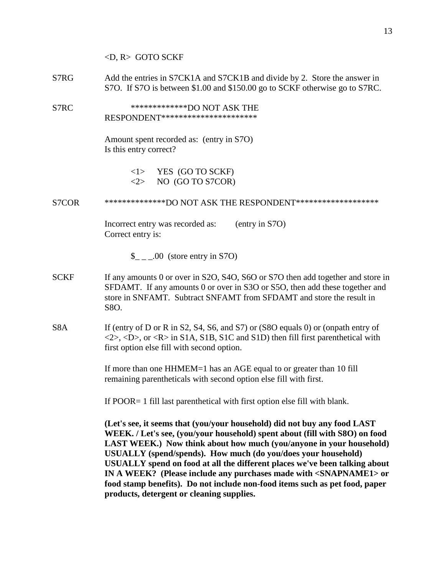<D, R> GOTO SCKF

- S7RG Add the entries in S7CK1A and S7CK1B and divide by 2. Store the answer in S7O. If S7O is between \$1.00 and \$150.00 go to SCKF otherwise go to S7RC.
- S7RC \*\*\*\*\*\*\*\*\*\*\*\*\*\*\*\*\*DO NOT ASK THE RESPONDENT\*\*\*\*\*\*\*\*\*\*\*\*\*\*\*\*\*\*\*\*\*\*

Amount spent recorded as: (entry in S7O) Is this entry correct?

| $<$ 1 $>$           | YES (GO TO SCKF) |
|---------------------|------------------|
| $\langle 2 \rangle$ | NO (GO TO S7COR) |

### S7COR \*\*\*\*\*\*\*\*\*\*\*\*\*\*DO NOT ASK THE RESPONDENT\*\*\*\*\*\*\*\*\*\*\*\*\*\*\*\*\*\*\*

Incorrect entry was recorded as: (entry in S7O) Correct entry is:

\$ .00 (store entry in S7O)

- SCKF If any amounts 0 or over in S2O, S4O, S6O or S7O then add together and store in SFDAMT. If any amounts 0 or over in S3O or S5O, then add these together and store in SNFAMT. Subtract SNFAMT from SFDAMT and store the result in S8O.
- S8A If (entry of D or R in S2, S4, S6, and S7) or (S8O equals 0) or (onpath entry of  $\langle 2 \rangle$ ,  $\langle D \rangle$ , or  $\langle R \rangle$  in S1A, S1B, S1C and S1D) then fill first parenthetical with first option else fill with second option.

If more than one HHMEM=1 has an AGE equal to or greater than 10 fill remaining parentheticals with second option else fill with first.

If POOR= 1 fill last parenthetical with first option else fill with blank.

**(Let's see, it seems that (you/your household) did not buy any food LAST WEEK. / Let's see, (you/your household) spent about (fill with S8O) on food LAST WEEK.) Now think about how much (you/anyone in your household) USUALLY (spend/spends). How much (do you/does your household) USUALLY spend on food at all the different places we've been talking about IN A WEEK? (Please include any purchases made with <SNAPNAME1> or food stamp benefits). Do not include non-food items such as pet food, paper products, detergent or cleaning supplies.**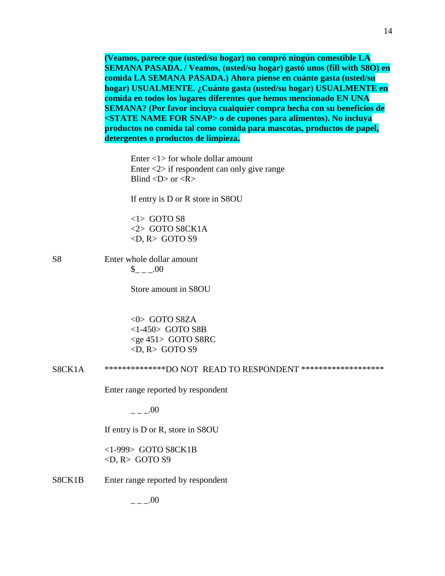**(Veamos, parece que (usted/su hogar) no compró ningún comestible LA SEMANA PASADA. / Veamos, (usted/su hogar) gastó unos (fill with S8O) en comida LA SEMANA PASADA.) Ahora piense en cuánto gasta (usted/su hogar) USUALMENTE. ¿Cuánto gasta (usted/su hogar) USUALMENTE en comida en todos los lugares diferentes que hemos mencionado EN UNA SEMANA? (Por favor incluya cualquier compra hecha con su beneficios de <STATE NAME FOR SNAP> o de cupones para alimentos). No incluya productos no comida tal como comida para mascotas, productos de papel, detergentes o productos de limpieza.**

Enter  $\langle 1 \rangle$  for whole dollar amount Enter <2> if respondent can only give range Blind  $\langle D \rangle$  or  $\langle R \rangle$ 

If entry is D or R store in S8OU

<1> GOTO S8 <2> GOTO S8CK1A  $\langle D, R \rangle$  GOTO S9

S8 Enter whole dollar amount  $_{\sim -1.00}$ 

Store amount in S8OU

<0> GOTO S8ZA <1-450> GOTO S8B <ge 451> GOTO S8RC  $\langle$ D, R $>$  GOTO S9

S8CK1A \*\*\*\*\*\*\*\*\*\*\*\*\*\*DO NOT READ TO RESPONDENT \*\*\*\*\*\*\*\*\*\*\*\*\*\*\*\*\*\*\*

Enter range reported by respondent

 $_{-\,-}.00$ 

If entry is D or R, store in S8OU

<1-999> GOTO S8CK1B  $\langle D, R \rangle$  GOTO S9

S8CK1B Enter range reported by respondent

 $- -00$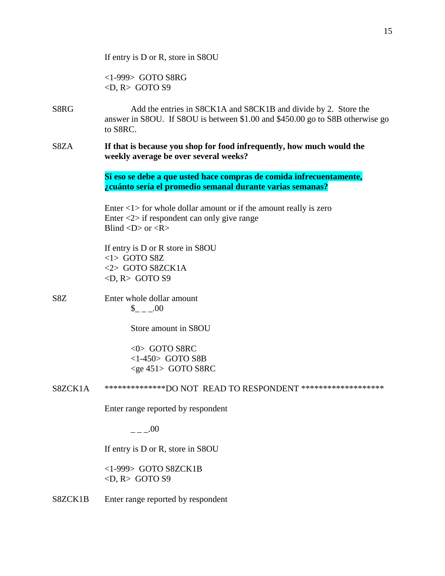|         | If entry is D or R, store in S8OU                                                                                                                                                                    |
|---------|------------------------------------------------------------------------------------------------------------------------------------------------------------------------------------------------------|
|         | $<$ 1-999> GOTO S8RG<br>$\langle D, R \rangle$ GOTO S9                                                                                                                                               |
| S8RG    | Add the entries in S8CK1A and S8CK1B and divide by 2. Store the<br>answer in S8OU. If S8OU is between \$1.00 and \$450.00 go to S8B otherwise go<br>to S8RC.                                         |
| S8ZA    | If that is because you shop for food infrequently, how much would the<br>weekly average be over several weeks?                                                                                       |
|         | Si eso se debe a que usted hace compras de comida infrecuentamente,<br>¿cuánto sería el promedio semanal durante varias semanas?                                                                     |
|         | Enter $\langle 1 \rangle$ for whole dollar amount or if the amount really is zero<br>Enter $\langle 2 \rangle$ if respondent can only give range<br>Blind $\langle D \rangle$ or $\langle R \rangle$ |
|         | If entry is D or R store in S8OU<br>$<$ 1> GOTO S8Z<br><2> GOTO S8ZCK1A<br>$\langle D, R \rangle$ GOTO S9                                                                                            |
| S8Z     | Enter whole dollar amount<br>$_{--.00}$                                                                                                                                                              |
|         | Store amount in S8OU                                                                                                                                                                                 |
|         | $<0$ GOTO S8RC<br>$<1-450>$ GOTO S8B<br>$<$ ge 451> GOTO S8RC                                                                                                                                        |
| S8ZCK1A | ***************DO NOT READ TO RESPONDENT ********************                                                                                                                                        |
|         | Enter range reported by respondent                                                                                                                                                                   |
|         | $- - -00$                                                                                                                                                                                            |
|         | If entry is D or R, store in S8OU                                                                                                                                                                    |
|         | <1-999> GOTO S8ZCK1B<br>$\langle D, R \rangle$ GOTO S9                                                                                                                                               |
| S8ZCK1B | Enter range reported by respondent                                                                                                                                                                   |
|         |                                                                                                                                                                                                      |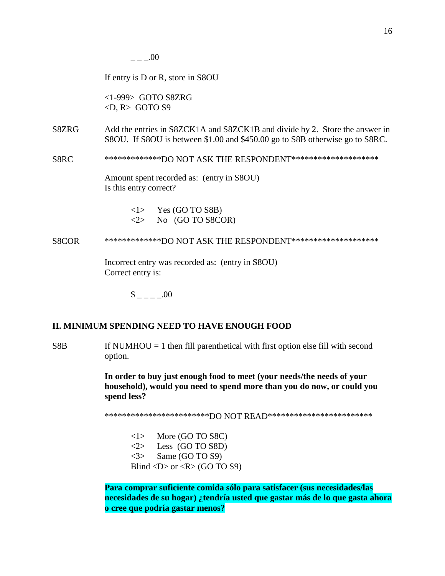$- -00$ 

If entry is D or R, store in S8OU

<1-999> GOTO S8ZRG  $\langle D, R \rangle$  GOTO S9

- S8ZRG Add the entries in S8ZCK1A and S8ZCK1B and divide by 2. Store the answer in S8OU. If S8OU is between \$1.00 and \$450.00 go to S8B otherwise go to S8RC.
- S8RC \*\*\*\*\*\*\*\*\*\*\*\*\*\*DO NOT ASK THE RESPONDENT\*\*\*\*\*\*\*\*\*\*\*\*\*\*\*\*\*\*\*\*\*

Amount spent recorded as: (entry in S8OU) Is this entry correct?

> $\langle$ 1> Yes (GO TO S8B)  $\langle 2 \rangle$  No (GO TO S8COR)

S8COR \*\*\*\*\*\*\*\*\*\*\*\*\*\*DO NOT ASK THE RESPONDENT\*\*\*\*\*\*\*\*\*\*\*\*\*\*\*\*\*\*\*\*\*

Incorrect entry was recorded as: (entry in S8OU) Correct entry is:

 $\frac{\$}{\$}$  \_ \_ \_ \_.00

### **II. MINIMUM SPENDING NEED TO HAVE ENOUGH FOOD**

 $S8B$  If NUMHOU = 1 then fill parenthetical with first option else fill with second option.

> **In order to buy just enough food to meet (your needs/the needs of your household), would you need to spend more than you do now, or could you spend less?**

\*\*\*\*\*\*\*\*\*\*\*\*\*\*\*\*\*\*\*\*\*\*\*\*\*\*\*DO NOT READ\*\*\*\*\*\*\*\*\*\*\*\*\*\*\*\*\*\*\*\*\*\*\*\*\*

 $\langle 1 \rangle$  More (GO TO S8C)  $\langle 2 \rangle$  Less (GO TO S8D) <3> Same (GO TO S9) Blind  $\langle D \rangle$  or  $\langle R \rangle$  (GO TO S9)

**Para comprar suficiente comida sólo para satisfacer (sus necesidades/las necesidades de su hogar) ¿tendría usted que gastar más de lo que gasta ahora o cree que podría gastar menos?**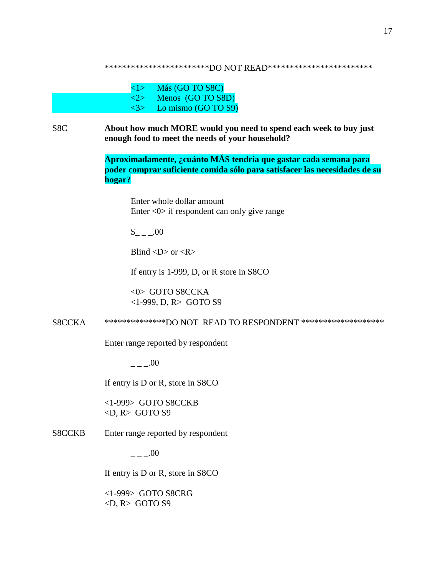\*\*\*\*\*\*\*\*\*\*\*\*\*\*\*\*\*\*\*\*\*\*\*\*\*\*DO NOT READ\*\*\*\*\*\*\*\*\*\*\*\*\*\*\*\*\*\*\*\*\*\*\*\*

| <1>                 | Más (GO TO S8C)     |
|---------------------|---------------------|
| 2>                  | Menos (GO TO S8D)   |
| $\langle 3 \rangle$ | Lo mismo (GO TO S9) |

S8C **About how much MORE would you need to spend each week to buy just enough food to meet the needs of your household?**

> **Aproximadamente, ¿cuánto MÁS tendría que gastar cada semana para poder comprar suficiente comida sólo para satisfacer las necesidades de su hogar?**

Enter whole dollar amount Enter <0> if respondent can only give range

 $$ 00$ 

Blind  $\langle D \rangle$  or  $\langle R \rangle$ 

If entry is 1-999, D, or R store in S8CO

<0> GOTO S8CCKA <1-999, D, R> GOTO S9

S8CCKA \*\*\*\*\*\*\*\*\*\*\*\*\*\*DO NOT READ TO RESPONDENT \*\*\*\*\*\*\*\*\*\*\*\*\*\*\*\*\*\*\*

Enter range reported by respondent

 $---00$ 

If entry is D or R, store in S8CO

<1-999> GOTO S8CCKB <D, R> GOTO S9

S8CCKB Enter range reported by respondent

 $- -00$ 

If entry is D or R, store in S8CO

<1-999> GOTO S8CRG  $\langle D, R \rangle$  GOTO S9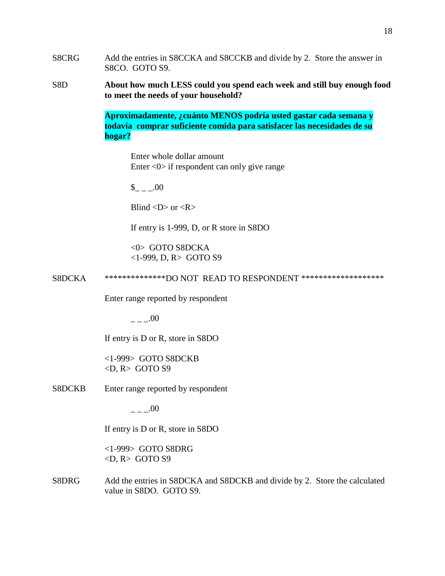- S8CRG Add the entries in S8CCKA and S8CCKB and divide by 2. Store the answer in S8CO. GOTO S9.
- S8D **About how much LESS could you spend each week and still buy enough food to meet the needs of your household?**

**Aproximadamente, ¿cuánto MENOS podría usted gastar cada semana y todavía comprar suficiente comida para satisfacer las necesidades de su hogar?**

Enter whole dollar amount Enter <0> if respondent can only give range

 $_{\sim}$   $.00$ 

Blind  $\langle D \rangle$  or  $\langle R \rangle$ 

If entry is 1-999, D, or R store in S8DO

<0> GOTO S8DCKA <1-999, D, R> GOTO S9

S8DCKA \*\*\*\*\*\*\*\*\*\*\*\*\*\*\*DO NOT READ TO RESPONDENT \*\*\*\*\*\*\*\*\*\*\*\*\*\*\*\*\*\*\*\*\*

Enter range reported by respondent

 $- -100$ 

If entry is D or R, store in S8DO

<1-999> GOTO S8DCKB  $\langle D, R \rangle$  GOTO S9

S8DCKB Enter range reported by respondent

 $- -00$ 

If entry is D or R, store in S8DO

<1-999> GOTO S8DRG  $\langle D, R \rangle$  GOTO S9

S8DRG Add the entries in S8DCKA and S8DCKB and divide by 2. Store the calculated value in S8DO. GOTO S9.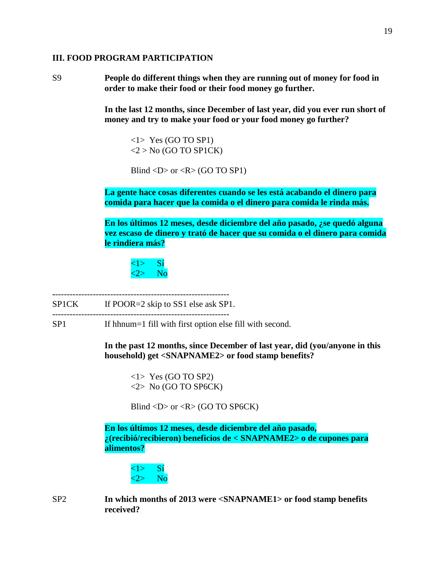### **III. FOOD PROGRAM PARTICIPATION**

S9 **People do different things when they are running out of money for food in order to make their food or their food money go further.**

> **In the last 12 months, since December of last year, did you ever run short of money and try to make your food or your food money go further?**

<1> Yes (GO TO SP1)  $<$ 2 > No (GO TO SP1CK)

Blind  $\langle D \rangle$  or  $\langle R \rangle$  (GO TO SP1)

**La gente hace cosas diferentes cuando se les está acabando el dinero para comida para hacer que la comida o el dinero para comida le rinda más.**

**En los últimos 12 meses, desde diciembre del año pasado, ¿se quedó alguna vez escaso de dinero y trató de hacer que su comida o el dinero para comida le rindiera más?**



**-**------------------------------------------------------------

SP1CK If POOR=2 skip to SS1 else ask SP1.

-------------------------------------------------------------

SP1 If hhnum=1 fill with first option else fill with second.

**In the past 12 months, since December of last year, did (you/anyone in this household) get <SNAPNAME2> or food stamp benefits?**

<1> Yes (GO TO SP2) <2> No (GO TO SP6CK)

Blind  $\langle D \rangle$  or  $\langle R \rangle$  (GO TO SP6CK)

**En los últimos 12 meses, desde diciembre del año pasado, ¿(recibió/recibieron) beneficios de < SNAPNAME2> o de cupones para alimentos?**

 $\overline{\langle 1 \rangle}$  Si  $\langle 2 \rangle$  No

SP2 **In which months of 2013 were <SNAPNAME1> or food stamp benefits received?**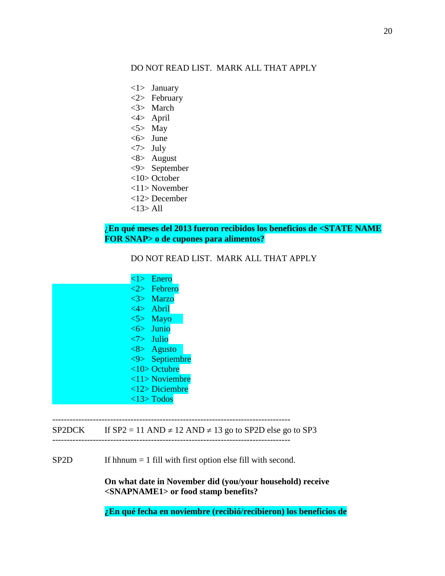# DO NOT READ LIST. MARK ALL THAT APPLY

- <1> January
- <2> February
- <3> March
- <4> April
- $<$ 5> May
- <6> June
- <7> July
- <8> August
- <9> September
- <10> October
- <11> November
- <12> December
- <13> All

# ¿**En qué meses del 2013 fueron recibidos los beneficios de <STATE NAME FOR SNAP> o de cupones para alimentos?**

DO NOT READ LIST. MARK ALL THAT APPLY

|  | $\langle 1 \rangle$ Enero      |
|--|--------------------------------|
|  | $\langle 2 \rangle$ Febrero    |
|  | $\langle 3 \rangle$ Marzo      |
|  | $\langle 4 \rangle$ Abril      |
|  | $5$ Mayo                       |
|  | $\leq 6$ Junio                 |
|  | $\langle 7 \rangle$ Julio      |
|  | $\langle 8 \rangle$ Agusto     |
|  | $\langle 9 \rangle$ Septiembre |
|  | $<$ 10> Octubre                |
|  | $\langle 11 \rangle$ Noviembre |
|  | $\langle 12 \rangle$ Diciembre |
|  | $<$ 13> Todos                  |

# SP2DCK If  $SP2 = 11$  AND  $\neq$  12 AND  $\neq$  13 go to SP2D else go to SP3

----------------------------------------------------------------------------------

SP2D If hhnum = 1 fill with first option else fill with second.

**On what date in November did (you/your household) receive <SNAPNAME1> or food stamp benefits?**

----------------------------------------------------------------------------------

**¿En qué fecha en noviembre (recibió/recibieron) los beneficios de**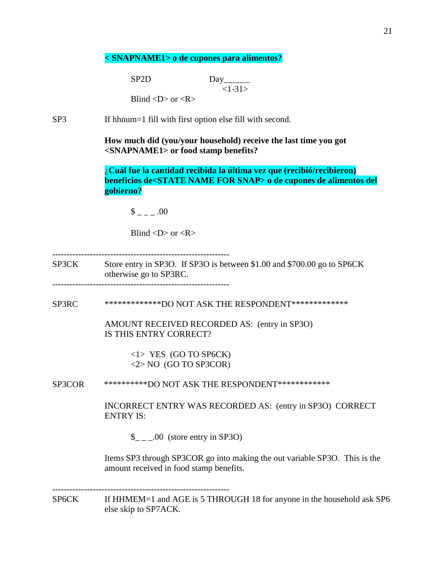### **< SNAPNAME1> o de cupones para alimentos?**

SP2D Day  $<1-31>$ Blind  $\langle D \rangle$  or  $\langle R \rangle$ 

SP3 If hhnum=1 fill with first option else fill with second.

**How much did (you/your household) receive the last time you got <SNAPNAME1> or food stamp benefits?**

¿**Cuál fue la cantidad recibida la última vez que (recibió/recibieron) beneficios de<STATE NAME FOR SNAP> o de cupones de alimentos del gobierno?**

 $\sim -100$ 

Blind  $\langle D \rangle$  or  $\langle R \rangle$ 

-------------------------------------------------------------

SP3CK Store entry in SP3O. If SP3O is between \$1.00 and \$700.00 go to SP6CK otherwise go to SP3RC.

-------------------------------------------------------------

SP3RC \*\*\*\*\*\*\*\*\*\*\*\*\*\*DO NOT ASK THE RESPONDENT\*\*\*\*\*\*\*\*\*\*\*\*\*\*

 AMOUNT RECEIVED RECORDED AS: (entry in SP3O) IS THIS ENTRY CORRECT?

> <1> YES (GO TO SP6CK) <2> NO (GO TO SP3COR)

SP3COR \*\*\*\*\*\*\*\*\*\*DO NOT ASK THE RESPONDENT\*\*\*\*\*\*\*\*\*\*\*\*

INCORRECT ENTRY WAS RECORDED AS: (entry in SP3O) CORRECT ENTRY IS:

 $\_{\_ \_ \_ \_0}$ .00 (store entry in SP3O)

Items SP3 through SP3COR go into making the out variable SP3O. This is the amount received in food stamp benefits.

SP6CK If HHMEM=1 and AGE is 5 THROUGH 18 for anyone in the household ask SP6 else skip to SP7ACK.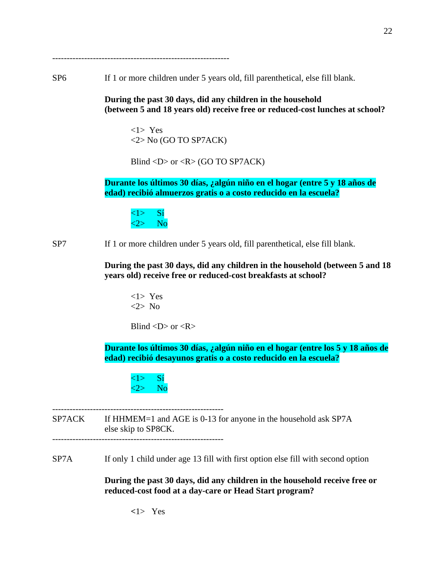-------------------------------------------------------------

SP6 If 1 or more children under 5 years old, fill parenthetical, else fill blank.

**During the past 30 days, did any children in the household (between 5 and 18 years old) receive free or reduced-cost lunches at school?**

<1> Yes <2> No (GO TO SP7ACK)

Blind <D> or < $R$ > (GO TO SP7ACK)

**Durante los últimos 30 días, ¿algún niño en el hogar (entre 5 y 18 años de edad) recibió almuerzos gratis o a costo reducido en la escuela?**

<1> Sí  $\langle 2 \rangle$  No

SP7 If 1 or more children under 5 years old, fill parenthetical, else fill blank.

**During the past 30 days, did any children in the household (between 5 and 18 years old) receive free or reduced-cost breakfasts at school?**

<1> Yes <2> No

Blind  $\langle D \rangle$  or  $\langle R \rangle$ 

**Durante los últimos 30 días, ¿algún niño en el hogar (entre los 5 y 18 años de edad) recibió desayunos gratis o a costo reducido en la escuela?**

<1> Sí  $\langle 2 \rangle$  No

----------------------------------------------------------- SP7ACK If HHMEM=1 and AGE is 0-13 for anyone in the household ask SP7A else skip to SP8CK. -----------------------------------------------------------

SP7A If only 1 child under age 13 fill with first option else fill with second option

**During the past 30 days, did any children in the household receive free or reduced-cost food at a day-care or Head Start program?**

**<**1> Yes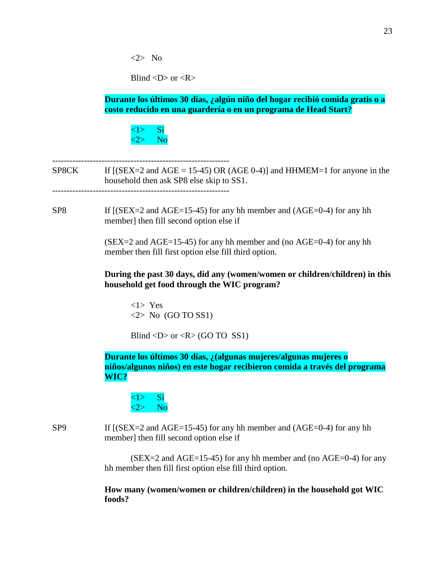<2> No

Blind  $\langle D \rangle$  or  $\langle R \rangle$ 

**Durante los últimos 30 días, ¿algún niño del hogar recibió comida gratis o a costo reducido en una guardería o en un programa de Head Start?**

 $\langle 1 \rangle$  Sí  $\langle 2 \rangle$  No

-------------------------------------------------------------

SP8CK If  $[(SEX = 2 \text{ and } AGE = 15-45) \text{ OR } (AGE 0-4)]$  and HHMEM=1 for anyone in the household then ask SP8 else skip to SS1. -------------------------------------------------------------

SP8 If  $[(SEX=2 \text{ and } AGE=15-45)$  for any hh member and  $(AGE=0-4)$  for any hh member] then fill second option else if

> $(SEX = 2$  and  $AGE = 15-45$  for any hh member and (no  $AGE = 0-4$ ) for any hh member then fill first option else fill third option.

**During the past 30 days, did any (women/women or children/children) in this household get food through the WIC program?**

<1> Yes  $\langle 2 \rangle$  No (GO TO SS1)

Blind  $\langle D \rangle$  or  $\langle R \rangle$  (GO TO SS1)

**Durante los últimos 30 días, ¿(algunas mujeres/algunas mujeres o niños/algunos niños) en este hogar recibieron comida a través del programa WIC?**

<1> Sí  $\langle 2 \rangle$  No

SP9 If  $[(SEX=2 \text{ and } AGE=15-45)$  for any hh member and  $(AGE=0-4)$  for any hh member] then fill second option else if

> $(SEX = 2$  and  $AGE = 15-45)$  for any hh member and (no  $AGE = 0-4$ ) for any hh member then fill first option else fill third option.

### **How many (women/women or children/children) in the household got WIC foods?**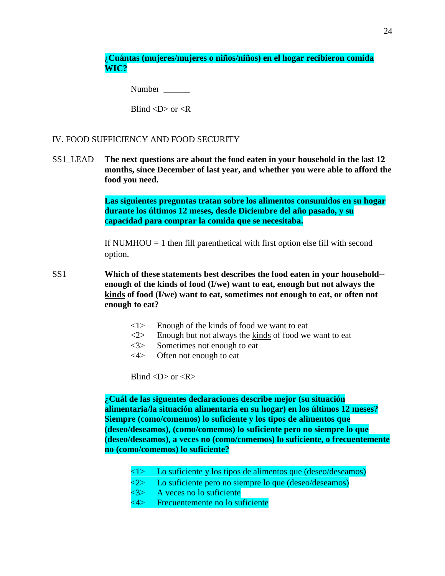¿**Cuántas (mujeres/mujeres o niños/niños) en el hogar recibieron comida WIC?**

Number  $\blacksquare$ 

Blind  $\langle D \rangle$  or  $\langle R \rangle$ 

### IV. FOOD SUFFICIENCY AND FOOD SECURITY

SS1\_LEAD **The next questions are about the food eaten in your household in the last 12 months, since December of last year, and whether you were able to afford the food you need.**

> **Las siguientes preguntas tratan sobre los alimentos consumidos en su hogar durante los últimos 12 meses, desde Diciembre del año pasado, y su capacidad para comprar la comida que se necesitaba.**

If NUMHOU  $= 1$  then fill parenthetical with first option else fill with second option.

- SS1 **Which of these statements best describes the food eaten in your household- enough of the kinds of food (I/we) want to eat, enough but not always the kinds of food (I/we) want to eat, sometimes not enough to eat, or often not enough to eat?**
	- <1> Enough of the kinds of food we want to eat
	- $\langle 2 \rangle$  Enough but not always the kinds of food we want to eat
	- <3> Sometimes not enough to eat
	- <4> Often not enough to eat

Blind  $\langle D \rangle$  or  $\langle R \rangle$ 

**¿Cuál de las siguentes declaraciones describe mejor (su situación alimentaria/la situación alimentaria en su hogar) en los últimos 12 meses? Siempre (como/comemos) lo suficiente y los tipos de alimentos que (deseo/deseamos), (como/comemos) lo suficiente pero no siempre lo que (deseo/deseamos), a veces no (como/comemos) lo suficiente, o frecuentemente no (como/comemos) lo suficiente?**

- $\langle 1 \rangle$  Lo suficiente y los tipos de alimentos que (deseo/deseamos)
- <2> Lo suficiente pero no siempre lo que (deseo/deseamos)
- <3> A veces no lo suficiente
- <4> Frecuentemente no lo suficiente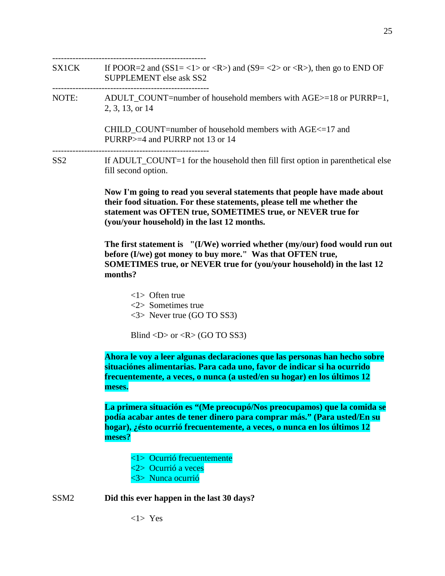-----------------------------------------------------

SX1CK If POOR=2 and (SS1= <1> or <R>) and (S9= <2> or <R>), then go to END OF SUPPLEMENT else ask SS2

------------------------------------------------------

NOTE: ADULT COUNT=number of household members with AGE>=18 or PURRP=1, 2, 3, 13, or 14

> CHILD\_COUNT=number of household members with AGE<=17 and PURRP>=4 and PURRP not 13 or 14

------------------------------------------------------

SS2 If ADULT COUNT=1 for the household then fill first option in parenthetical else fill second option.

> **Now I'm going to read you several statements that people have made about their food situation. For these statements, please tell me whether the statement was OFTEN true, SOMETIMES true, or NEVER true for (you/your household) in the last 12 months.**

**The first statement is "(I/We) worried whether (my/our) food would run out before (I/we) got money to buy more." Was that OFTEN true, SOMETIMES true, or NEVER true for (you/your household) in the last 12 months?**

<1> Often true <2> Sometimes true <3> Never true (GO TO SS3)

Blind <D> or <R> (GO TO SS3)

**Ahora le voy a leer algunas declaraciones que las personas han hecho sobre situaciónes alimentarias. Para cada uno, favor de indicar si ha ocurrido frecuentemente, a veces, o nunca (a usted/en su hogar) en los últimos 12 meses.**

**La primera situación es "(Me preocupó/Nos preocupamos) que la comida se podía acabar antes de tener dinero para comprar más." (Para usted/En su hogar), ¿ésto ocurrió frecuentemente, a veces, o nunca en los últimos 12 meses?**

- <1> Ocurrió frecuentemente
- <2> Ocurrió a veces
- <3> Nunca ocurrió

SSM2 **Did this ever happen in the last 30 days?**

<1> Yes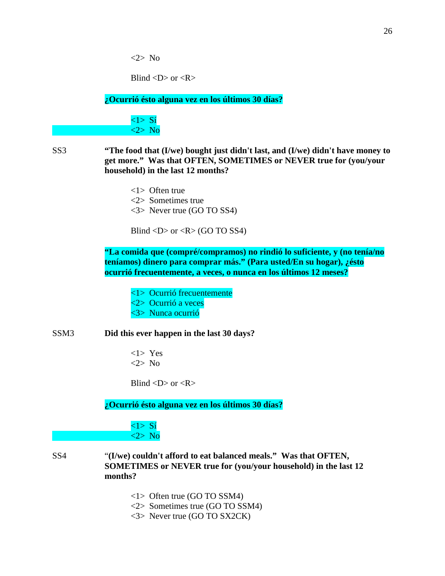<2> No

Blind  $\langle D \rangle$  or  $\langle R \rangle$ 

**¿Ocurrió ésto alguna vez en los últimos 30 días?**

 $\langle 1 \rangle$  Si <2> No

SS3 **"The food that (I/we) bought just didn't last, and (I/we) didn't have money to get more." Was that OFTEN, SOMETIMES or NEVER true for (you/your household) in the last 12 months?**

> <1> Often true <2> Sometimes true <3> Never true (GO TO SS4)

Blind  $\langle D \rangle$  or  $\langle R \rangle$  (GO TO SS4)

**"La comida que (compré/compramos) no rindió lo suficiente, y (no tenía/no teníamos) dinero para comprar más." (Para usted/En su hogar), ¿ésto ocurrió frecuentemente, a veces, o nunca en los últimos 12 meses?**

- <1> Ocurrió frecuentemente <2> Ocurrió a veces
- <3> Nunca ocurrió
- SSM3 **Did this ever happen in the last 30 days?**
	- <1> Yes <2> No

Blind  $\langle D \rangle$  or  $\langle R \rangle$ 

**¿Ocurrió ésto alguna vez en los últimos 30 días?**

 $\langle 1 \rangle$  S<sub>1</sub> <2> No

- SS4 "**(I/we) couldn't afford to eat balanced meals." Was that OFTEN, SOMETIMES or NEVER true for (you/your household) in the last 12 months?**
	- <1> Often true (GO TO SSM4)
	- <2> Sometimes true (GO TO SSM4)
	- <3> Never true (GO TO SX2CK)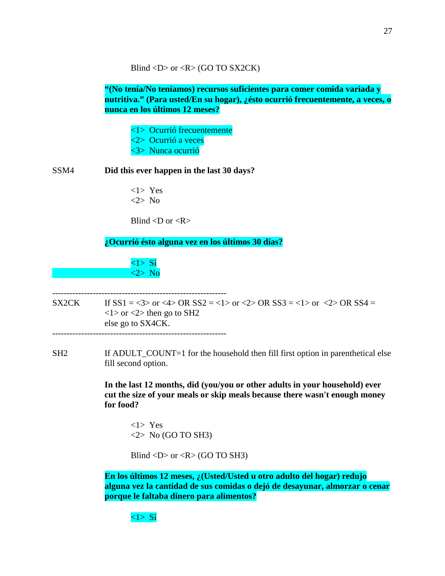Blind <D> or < $R$ > (GO TO SX2CK)

**"(No tenía/No teníamos) recursos suficientes para comer comida variada y nutritiva." (Para usted/En su hogar), ¿ésto ocurrió frecuentemente, a veces, o nunca en los últimos 12 meses?**

<1> Ocurrió frecuentemente <2> Ocurrió a veces <3> Nunca ocurrió

SSM4 **Did this ever happen in the last 30 days?**

<1> Yes <2> No

Blind  $\langle D \text{ or } \langle R \rangle$ 

------------------------------------------------------------

**¿Ocurrió ésto alguna vez en los últimos 30 días?**

<1> Sí <2> No

SX2CK If  $SS1 = <3>$  or  $<4>$  OR  $SS2 = <1>$  or  $<2>$  OR  $SS3 = <1>$  or  $<2>$  OR  $SS4 =$  $\langle$ 1> or  $\langle$ 2> then go to SH2 else go to SX4CK. ------------------------------------------------------------

SH2 If ADULT COUNT=1 for the household then fill first option in parenthetical else fill second option.

> **In the last 12 months, did (you/you or other adults in your household) ever cut the size of your meals or skip meals because there wasn't enough money for food?**

<1> Yes  $\langle 2 \rangle$  No (GO TO SH3)

Blind <D> or < $R$ > (GO TO SH3)

**En los últimos 12 meses, ¿(Usted/Usted u otro adulto del hogar) redujo alguna vez la cantidad de sus comidas o dejó de desayunar, almorzar o cenar porque le faltaba dinero para alimentos?**

 $\langle 1 \rangle$  Sí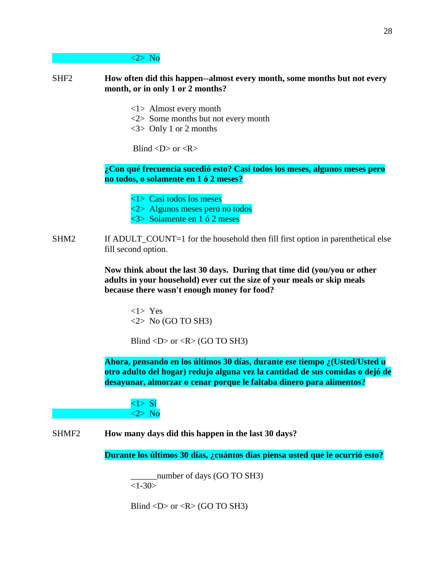#### <2> No

### SHF2 **How often did this happen--almost every month, some months but not every month, or in only 1 or 2 months?**

- <1> Almost every month
- <2> Some months but not every month
- <3> Only 1 or 2 months

Blind  $\langle D \rangle$  or  $\langle R \rangle$ 

**¿Con qué frecuencia sucedió esto? Casi todos los meses, algunos meses pero no todos, o solamente en 1 ó 2 meses?**

<1> Casi todos los meses

<2> Algunos meses pero no todos

- <3> Solamente en 1 ó 2 meses
- SHM2 If ADULT\_COUNT=1 for the household then fill first option in parenthetical else fill second option.

**Now think about the last 30 days. During that time did (you/you or other adults in your household) ever cut the size of your meals or skip meals because there wasn't enough money for food?**

<1> Yes  $\langle 2 \rangle$  No (GO TO SH3)

Blind  $\langle D \rangle$  or  $\langle R \rangle$  (GO TO SH3)

**Ahora, pensando en los últimos 30 días, durante ese tiempo ¿(Usted/Usted u otro adulto del hogar) redujo alguna vez la cantidad de sus comidas o dejó de desayunar, almorzar o cenar porque le faltaba dinero para alimentos?**

<1> Sí <2> No

SHMF2 **How many days did this happen in the last 30 days?**

**Durante los últimos 30 días, ¿cuántos días piensa usted que le ocurrió esto?**

\_\_\_\_\_\_number of days (GO TO SH3)  $<1-30>$ 

Blind  $\langle D \rangle$  or  $\langle R \rangle$  (GO TO SH3)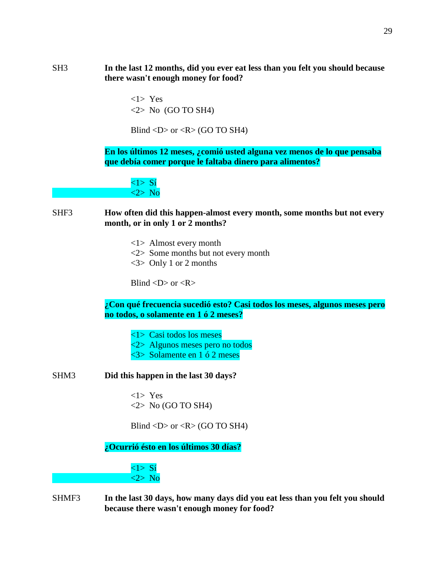SH3 **In the last 12 months, did you ever eat less than you felt you should because there wasn't enough money for food?**

> <1> Yes  $\langle 2 \rangle$  No (GO TO SH4)

Blind  $\langle D \rangle$  or  $\langle R \rangle$  (GO TO SH4)

**En los últimos 12 meses, ¿comió usted alguna vez menos de lo que pensaba que debía comer porque le faltaba dinero para alimentos?**

 $\langle 1 \rangle$  S<sub>1</sub> <2> No

SHF3 **How often did this happen-almost every month, some months but not every month, or in only 1 or 2 months?**

- <1> Almost every month
- <2> Some months but not every month
- <3> Only 1 or 2 months

Blind  $\langle D \rangle$  or  $\langle R \rangle$ 

**¿Con qué frecuencia sucedió esto? Casi todos los meses, algunos meses pero no todos, o solamente en 1 ó 2 meses?**

- <1> Casi todos los meses
- <2> Algunos meses pero no todos
- <3> Solamente en 1 ó 2 meses
- SHM3 **Did this happen in the last 30 days?**

<1> Yes  $\langle 2 \rangle$  No (GO TO SH4)

Blind  $\langle D \rangle$  or  $\langle R \rangle$  (GO TO SH4)

**¿Ocurrió ésto en los últimos 30 días?**

 $\langle 1 \rangle$  S<sub>1</sub> <2> No

SHMF3 **In the last 30 days, how many days did you eat less than you felt you should because there wasn't enough money for food?**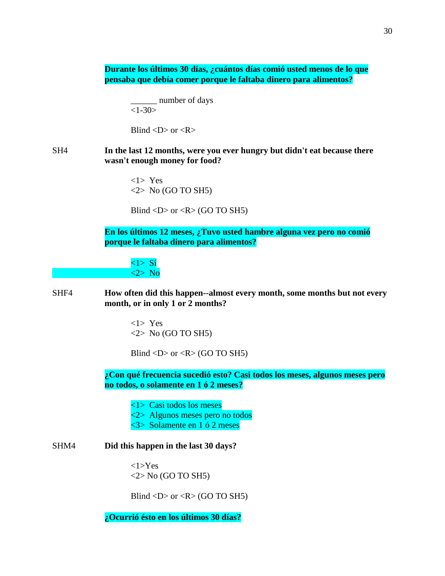**Durante los últimos 30 días, ¿cuántos días comió usted menos de lo que pensaba que debía comer porque le faltaba dinero para alimentos?**

> \_\_\_\_\_\_ number of days  $<1-30>$

Blind  $\langle D \rangle$  or  $\langle R \rangle$ 

# SH4 **In the last 12 months, were you ever hungry but didn't eat because there wasn't enough money for food?**

<1> Yes <2> No (GO TO SH5)

Blind  $\langle D \rangle$  or  $\langle R \rangle$  (GO TO SH5)

**En los últimos 12 meses, ¿Tuvo usted hambre alguna vez pero no comió porque le faltaba dinero para alimentos?**

<1> Sí <2> No

SHF4 **How often did this happen--almost every month, some months but not every month, or in only 1 or 2 months?**

> <1> Yes  $\langle 2 \rangle$  No (GO TO SH5)

Blind  $\langle D \rangle$  or  $\langle R \rangle$  (GO TO SH5)

**¿Con qué frecuencia sucedió esto? Casi todos los meses, algunos meses pero no todos, o solamente en 1 ó 2 meses?**

<1> Casi todos los meses

- <2> Algunos meses pero no todos
- <3> Solamente en 1 ó 2 meses

### SHM4 **Did this happen in the last 30 days?**

<1>Yes  $\langle 2 \rangle$  No (GO TO SH5)

Blind  $\langle D \rangle$  or  $\langle R \rangle$  (GO TO SH5)

**¿Ocurrió ésto en los últimos 30 días?**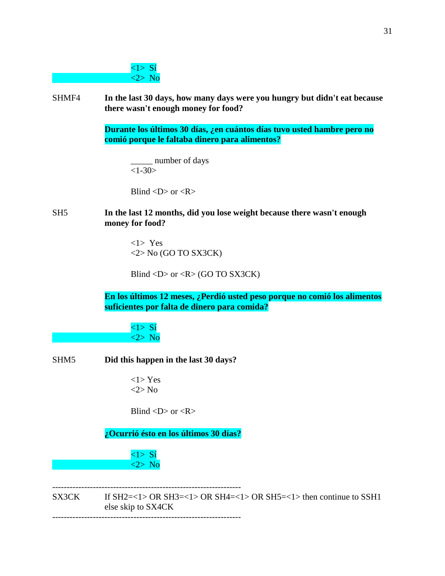# $\langle 1 \rangle$  S<sub>1</sub> <2> No

SHMF4 **In the last 30 days, how many days were you hungry but didn't eat because there wasn't enough money for food?**

> **Durante los últimos 30 días, ¿en cuántos días tuvo usted hambre pero no comió porque le faltaba dinero para alimentos?**

\_\_\_\_\_ number of days  $<1-30>$ 

Blind  $\langle D \rangle$  or  $\langle R \rangle$ 

## SH5 **In the last 12 months, did you lose weight because there wasn't enough money for food?**

<1> Yes <2> No (GO TO SX3CK)

Blind <D> or < $R$ > (GO TO SX3CK)

**En los últimos 12 meses, ¿Perdió usted peso porque no comió los alimentos suficientes por falta de dinero para comida?**

 $\langle 1 \rangle$  S<sub>1</sub> <2> No

# SHM5 **Did this happen in the last 30 days?**

<1> Yes <2> No

Blind  $\langle D \rangle$  or  $\langle R \rangle$ 

**¿Ocurrió ésto en los últimos 30 días?**

<1> Sí <2> No

----------------------------------------------------------------- SX3CK If SH2=<1> OR SH3=<1> OR SH4=<1> OR SH5=<1> then continue to SSH1 else skip to SX4CK -----------------------------------------------------------------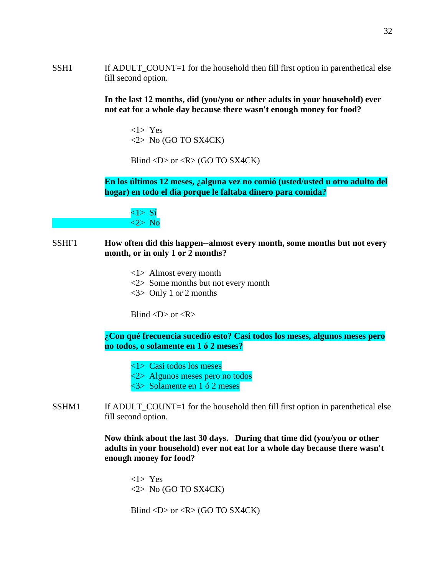SSH1 If ADULT\_COUNT=1 for the household then fill first option in parenthetical else fill second option.

> **In the last 12 months, did (you/you or other adults in your household) ever not eat for a whole day because there wasn't enough money for food?**

<1> Yes  $\langle 2 \rangle$  No (GO TO SX4CK)

Blind <D> or < $R$ > (GO TO SX4CK)

**En los últimos 12 meses, ¿alguna vez no comió (usted/usted u otro adulto del hogar) en todo el día porque le faltaba dinero para comida?**

 $\langle 1 \rangle$  Sí <2> No

### SSHF1 **How often did this happen--almost every month, some months but not every month, or in only 1 or 2 months?**

- <1> Almost every month
- <2> Some months but not every month
- $\langle 3 \rangle$  Only 1 or 2 months

Blind  $\langle D \rangle$  or  $\langle R \rangle$ 

**¿Con qué frecuencia sucedió esto? Casi todos los meses, algunos meses pero no todos, o solamente en 1 ó 2 meses?**

- <1> Casi todos los meses
- <2> Algunos meses pero no todos
- <3> Solamente en 1 ó 2 meses
- SSHM1 If ADULT\_COUNT=1 for the household then fill first option in parenthetical else fill second option.

**Now think about the last 30 days. During that time did (you/you or other adults in your household) ever not eat for a whole day because there wasn't enough money for food?**

<1> Yes  $\langle 2 \rangle$  No (GO TO SX4CK)

Blind <D> or < $R$ > (GO TO SX4CK)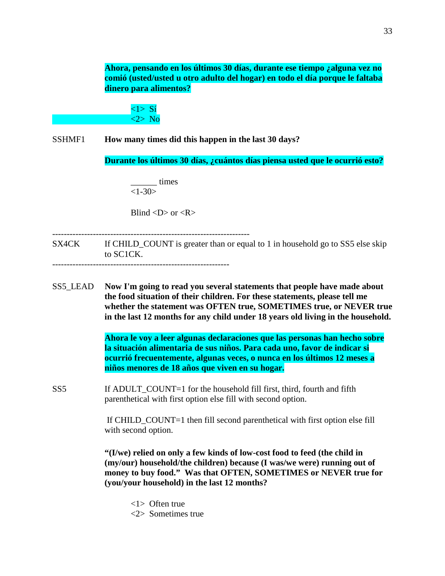**Ahora, pensando en los últimos 30 días, durante ese tiempo ¿alguna vez no comió (usted/usted u otro adulto del hogar) en todo el día porque le faltaba dinero para alimentos?**

 $\langle 1 \rangle$  S<sub>1</sub> <2> No

SSHMF1 **How many times did this happen in the last 30 days?**

**Durante los últimos 30 días, ¿cuántos días piensa usted que le ocurrió esto?**

\_\_\_\_\_\_ times  $<1-30>$ 

Blind  $\langle D \rangle$  or  $\langle R \rangle$ 

--------------------------------------------------------------------

SX4CK If CHILD\_COUNT is greater than or equal to 1 in household go to SS5 else skip to SC1CK.

-------------------------------------------------------------

SS5\_LEAD **Now I'm going to read you several statements that people have made about the food situation of their children. For these statements, please tell me whether the statement was OFTEN true, SOMETIMES true, or NEVER true in the last 12 months for any child under 18 years old living in the household.**

> **Ahora le voy a leer algunas declaraciones que las personas han hecho sobre la situación alimentaria de sus niños. Para cada uno, favor de indicar si ocurrió frecuentemente, algunas veces, o nunca en los últimos 12 meses a niños menores de 18 años que viven en su hogar.**

SS5 If ADULT COUNT=1 for the household fill first, third, fourth and fifth parenthetical with first option else fill with second option.

> If CHILD\_COUNT=1 then fill second parenthetical with first option else fill with second option.

**"(I/we) relied on only a few kinds of low-cost food to feed (the child in (my/our) household/the children) because (I was/we were) running out of money to buy food." Was that OFTEN, SOMETIMES or NEVER true for (you/your household) in the last 12 months?**

- <1> Often true
- <2> Sometimes true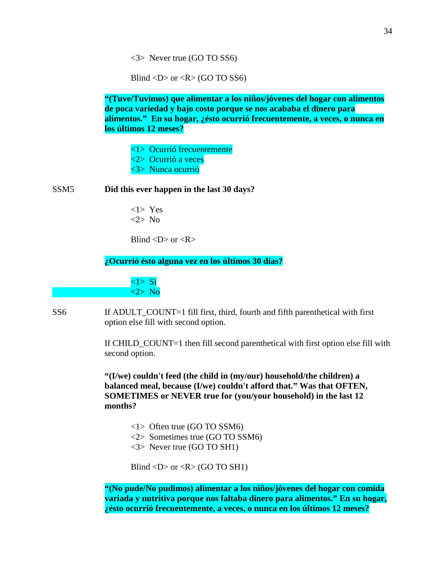<3> Never true (GO TO SS6)

Blind  $\langle D \rangle$  or  $\langle R \rangle$  (GO TO SS6)

**"(Tuve/Tuvimos) que alimentar a los niños/jóvenes del hogar con alimentos de poca variedad y bajo costo porque se nos acababa el dinero para alimentos." En su hogar, ¿ésto ocurrió frecuentemente, a veces, o nunca en los últimos 12 meses?**

<1> Ocurrió frecuentemente

<2> Ocurrió a veces

<3> Nunca ocurrió

SSM5 **Did this ever happen in the last 30 days?**

<1> Yes <2> No

Blind  $\langle D \rangle$  or  $\langle R \rangle$ 

**¿Ocurrió ésto alguna vez en los últimos 30 días?**

 $\langle 1 \rangle$  S<sub>1</sub> <2> No

SS6 If ADULT\_COUNT=1 fill first, third, fourth and fifth parenthetical with first option else fill with second option.

> If CHILD\_COUNT=1 then fill second parenthetical with first option else fill with second option.

**"(I/we) couldn't feed (the child in (my/our) household/the children) a balanced meal, because (I/we) couldn't afford that." Was that OFTEN, SOMETIMES or NEVER true for (you/your household) in the last 12 months?**

- <1> Often true (GO TO SSM6)
- <2> Sometimes true (GO TO SSM6)
- <3> Never true (GO TO SH1)

Blind  $\langle D \rangle$  or  $\langle R \rangle$  (GO TO SH1)

**"(No pude/No pudimos) alimentar a los niños/jóvenes del hogar con comida variada y nutritiva porque nos faltaba dinero para alimentos." En su hogar, ¿ésto ocurrió frecuentemente, a veces, o nunca en los últimos 12 meses?**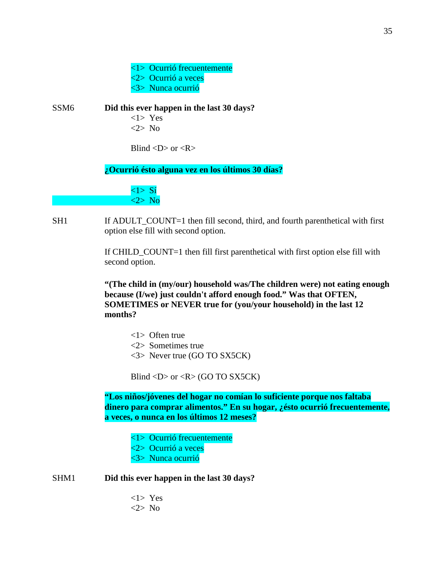<1> Ocurrió frecuentemente <2> Ocurrió a veces <3> Nunca ocurrió

SSM6 **Did this ever happen in the last 30 days?** <1> Yes <2> No

Blind  $\langle D \rangle$  or  $\langle R \rangle$ 

**¿Ocurrió ésto alguna vez en los últimos 30 días?**

 $\langle 1 \rangle$  Si <2> No

SH1 If ADULT COUNT=1 then fill second, third, and fourth parenthetical with first option else fill with second option.

> If CHILD\_COUNT=1 then fill first parenthetical with first option else fill with second option.

**"(The child in (my/our) household was/The children were) not eating enough because (I/we) just couldn't afford enough food." Was that OFTEN, SOMETIMES or NEVER true for (you/your household) in the last 12 months?**

- <1> Often true
- <2> Sometimes true
- <3> Never true (GO TO SX5CK)

Blind <D> or < $R$ > (GO TO SX5CK)

**"Los niños/jóvenes del hogar no comían lo suficiente porque nos faltaba dinero para comprar alimentos." En su hogar, ¿ésto ocurrió frecuentemente, a veces, o nunca en los últimos 12 meses?**

- <1> Ocurrió frecuentemente
- <2> Ocurrió a veces
- <3> Nunca ocurrió

SHM1 **Did this ever happen in the last 30 days?**

<1> Yes <2> No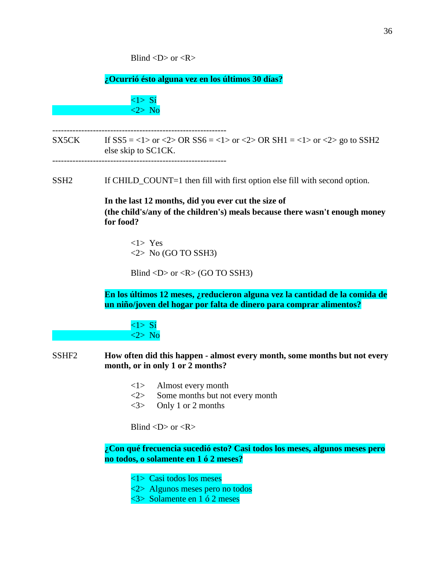Blind  $\langle D \rangle$  or  $\langle R \rangle$ 

**¿Ocurrió ésto alguna vez en los últimos 30 días?**

 $\langle 1 \rangle$  S<sub>1</sub> <2> No

- SX5CK If  $SS5 = <1>$  or  $<2>$  OR  $SS6 = <1>$  or  $<2>$  OR  $SH1 = <1>$  or  $<2>$  go to SSH2 else skip to SC1CK. ------------------------------------------------------------
- SSH2 If CHILD\_COUNT=1 then fill with first option else fill with second option.

**In the last 12 months, did you ever cut the size of (the child's/any of the children's) meals because there wasn't enough money for food?**

<1> Yes  $\langle 2 \rangle$  No (GO TO SSH3)

Blind  $\langle D \rangle$  or  $\langle R \rangle$  (GO TO SSH3)

**En los últimos 12 meses, ¿reducieron alguna vez la cantidad de la comida de un niño/joven del hogar por falta de dinero para comprar alimentos?**

 $\langle 1 \rangle$  Sí <2> No

- SSHF2 **How often did this happen - almost every month, some months but not every month, or in only 1 or 2 months?**
	- <1> Almost every month
	- <2> Some months but not every month
	- <3> Only 1 or 2 months

Blind  $\langle D \rangle$  or  $\langle R \rangle$ 

**¿Con qué frecuencia sucedió esto? Casi todos los meses, algunos meses pero no todos, o solamente en 1 ó 2 meses?**

<1> Casi todos los meses

- <2> Algunos meses pero no todos
- <3> Solamente en 1 ó 2 meses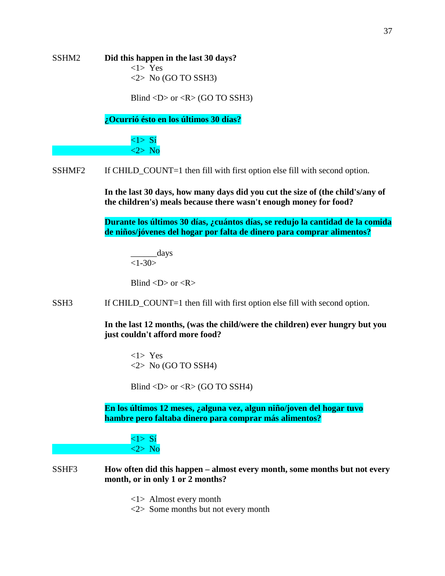SSHM2 **Did this happen in the last 30 days?** <1> Yes  $\langle 2 \rangle$  No (GO TO SSH3)

Blind  $\langle D \rangle$  or  $\langle R \rangle$  (GO TO SSH3)

**¿Ocurrió ésto en los últimos 30 días?**

<1> Sí <2> No

SSHMF2 If CHILD\_COUNT=1 then fill with first option else fill with second option.

**In the last 30 days, how many days did you cut the size of (the child's/any of the children's) meals because there wasn't enough money for food?**

**Durante los últimos 30 días, ¿cuántos días, se redujo la cantidad de la comida de niños/jóvenes del hogar por falta de dinero para comprar alimentos?**

\_\_\_\_\_\_days  $<1 - 30$ 

Blind  $\langle D \rangle$  or  $\langle R \rangle$ 

SSH3 If CHILD\_COUNT=1 then fill with first option else fill with second option.

**In the last 12 months, (was the child/were the children) ever hungry but you just couldn't afford more food?**

<1> Yes  $\langle 2 \rangle$  No (GO TO SSH4)

Blind  $\langle D \rangle$  or  $\langle R \rangle$  (GO TO SSH4)

**En los últimos 12 meses, ¿alguna vez, algun niño/joven del hogar tuvo hambre pero faltaba dinero para comprar más alimentos?**



SSHF3 **How often did this happen – almost every month, some months but not every month, or in only 1 or 2 months?**

<1> Almost every month

<2> Some months but not every month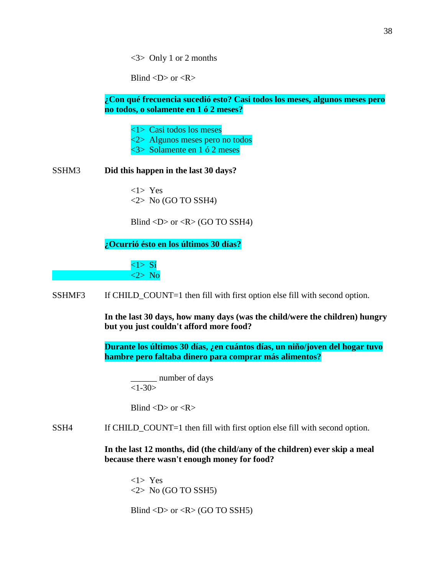<3> Only 1 or 2 months

Blind  $\langle D \rangle$  or  $\langle R \rangle$ 

# **¿Con qué frecuencia sucedió esto? Casi todos los meses, algunos meses pero no todos, o solamente en 1 ó 2 meses?**

<1> Casi todos los meses

<2> Algunos meses pero no todos

<3> Solamente en 1 ó 2 meses

### SSHM3 **Did this happen in the last 30 days?**

<1> Yes  $\langle 2 \rangle$  No (GO TO SSH4)

Blind  $\langle D \rangle$  or  $\langle R \rangle$  (GO TO SSH4)

**¿Ocurrió ésto en los últimos 30 días?**

 $\langle 1 \rangle$  S<sub>1</sub> <2> No

SSHMF3 If CHILD\_COUNT=1 then fill with first option else fill with second option.

**In the last 30 days, how many days (was the child/were the children) hungry but you just couldn't afford more food?**

**Durante los últimos 30 días, ¿en cuántos días, un niño/joven del hogar tuvo hambre pero faltaba dinero para comprar más alimentos?**

\_\_\_\_\_\_ number of days  $<1-30>$ 

Blind  $\langle D \rangle$  or  $\langle R \rangle$ 

SSH4 If CHILD\_COUNT=1 then fill with first option else fill with second option.

**In the last 12 months, did (the child/any of the children) ever skip a meal because there wasn't enough money for food?**

<1> Yes  $\langle 2 \rangle$  No (GO TO SSH5)

Blind  $\langle D \rangle$  or  $\langle R \rangle$  (GO TO SSH5)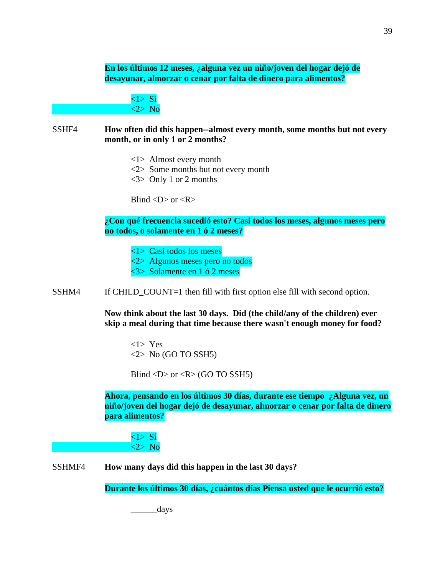**En los últimos 12 meses, ¿alguna vez un niño/joven del hogar dejó de desayunar, almorzar o cenar por falta de dinero para alimentos?**

> <1> Sí <2> No

SSHF4 **How often did this happen--almost every month, some months but not every month, or in only 1 or 2 months?**

<1> Almost every month

<2> Some months but not every month

<3> Only 1 or 2 months

Blind  $\langle D \rangle$  or  $\langle R \rangle$ 

**¿Con qué frecuencia sucedió esto? Casi todos los meses, algunos meses pero no todos, o solamente en 1 ó 2 meses?**

<1> Casi todos los meses

<2> Algunos meses pero no todos

<3> Solamente en 1 ó 2 meses

SSHM4 If CHILD\_COUNT=1 then fill with first option else fill with second option.

**Now think about the last 30 days. Did (the child/any of the children) ever skip a meal during that time because there wasn't enough money for food?**

<1> Yes  $\langle 2 \rangle$  No (GO TO SSH5)

Blind  $\langle D \rangle$  or  $\langle R \rangle$  (GO TO SSH5)

**Ahora, pensando en los últimos 30 días, durante ese tiempo ¿Alguna vez, un niño/joven del hogar dejó de desayunar, almorzar o cenar por falta de dinero para alimentos?**

 $\langle 1 \rangle$  Sí <2> No

SSHMF4 **How many days did this happen in the last 30 days?**

**Durante los últimos 30 días, ¿cuántos días Piensa usted que le ocurrió esto?**

\_\_\_\_\_\_days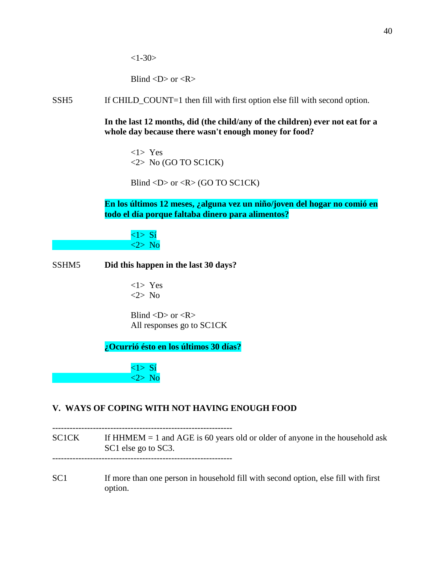Blind  $\langle D \rangle$  or  $\langle R \rangle$ 

SSH5 If CHILD\_COUNT=1 then fill with first option else fill with second option.

**In the last 12 months, did (the child/any of the children) ever not eat for a whole day because there wasn't enough money for food?**

<1> Yes  $\langle 2 \rangle$  No (GO TO SC1CK)

Blind <D> or < $R$ > (GO TO SC1CK)

**En los últimos 12 meses, ¿alguna vez un niño/joven del hogar no comió en todo el día porque faltaba dinero para alimentos?**

<1> Sí <2> No

### SSHM5 **Did this happen in the last 30 days?**

<1> Yes <2> No

Blind  $\langle D \rangle$  or  $\langle R \rangle$ All responses go to SC1CK

**¿Ocurrió ésto en los últimos 30 días?**

 $\langle 1 \rangle$  Sí <2> No

# **V. WAYS OF COPING WITH NOT HAVING ENOUGH FOOD**

--------------------------------------------------------------  $SCICK$  If HHMEM = 1 and AGE is 60 years old or older of anyone in the household ask SC1 else go to SC3. --------------------------------------------------------------

SC1 If more than one person in household fill with second option, else fill with first option.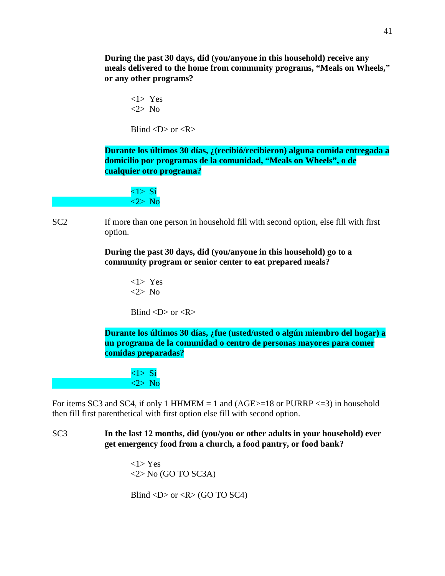**During the past 30 days, did (you/anyone in this household) receive any meals delivered to the home from community programs, "Meals on Wheels," or any other programs?**

<1> Yes <2> No

Blind  $\langle D \rangle$  or  $\langle R \rangle$ 

**Durante los últimos 30 días, ¿(recibió/recibieron) alguna comida entregada a domicilio por programas de la comunidad, "Meals on Wheels", o de cualquier otro programa?**

 $\langle 1 \rangle$  Sí <2> No

SC2 If more than one person in household fill with second option, else fill with first option.

> **During the past 30 days, did (you/anyone in this household) go to a community program or senior center to eat prepared meals?**

> > <1> Yes <2> No

Blind  $\langle D \rangle$  or  $\langle R \rangle$ 

**Durante los últimos 30 días, ¿fue (usted/usted o algún miembro del hogar) a un programa de la comunidad o centro de personas mayores para comer comidas preparadas?**

<1> Sí <2> No

For items SC3 and SC4, if only 1 HHMEM = 1 and  $(AGE>=18$  or PURRP <= 3) in household then fill first parenthetical with first option else fill with second option.

SC3 **In the last 12 months, did (you/you or other adults in your household) ever get emergency food from a church, a food pantry, or food bank?**

> <1> Yes  $\langle 2 \rangle$  No (GO TO SC3A)

Blind  $\langle D \rangle$  or  $\langle R \rangle$  (GO TO SC4)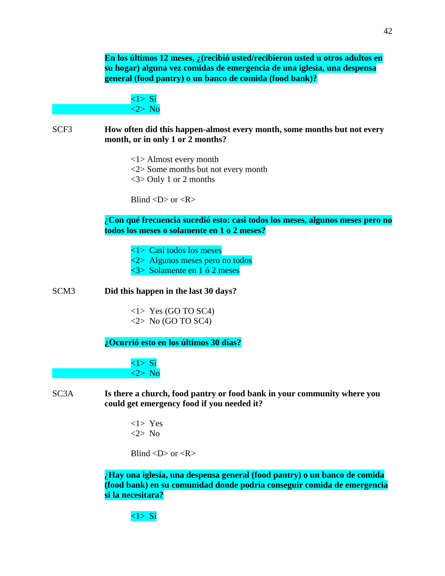**En los últimos 12 meses, ¿(recibió usted/recibieron usted u otros adultos en su hogar) alguna vez comidas de emergencia de una iglesia, una despensa general (food pantry) o un banco de comida (food bank)?**

 $\langle 1 \rangle$  S<sub>1</sub> <2> No

SCF3 **How often did this happen-almost every month, some months but not every month, or in only 1 or 2 months?**

<1> Almost every month

<2> Some months but not every month

<3> Only 1 or 2 months

Blind  $\langle D \rangle$  or  $\langle R \rangle$ 

¿**Con qué frecuencia sucedió esto: casi todos los meses, algunos meses pero no todos los meses o solamente en 1 o 2 meses?**

<1> Casi todos los meses

<2> Algunos meses pero no todos

<3> Solamente en 1 ó 2 meses

SCM3 **Did this happen in the last 30 days?**

 $\langle$ 1> Yes (GO TO SC4)  $\langle 2 \rangle$  No (GO TO SC4)

**¿Ocurrió esto en los últimos 30 días?**

 $\langle 1 \rangle$  Sí <2> No

SC3A **Is there a church, food pantry or food bank in your community where you could get emergency food if you needed it?**

> <1> Yes <2> No

Blind  $\langle D \rangle$  or  $\langle R \rangle$ 

¿**Hay una iglesia, una despensa general (food pantry) o un banco de comida (food bank) en su comunidad donde podría conseguir comida de emergencia si la necesitara?**

# <1> Sí